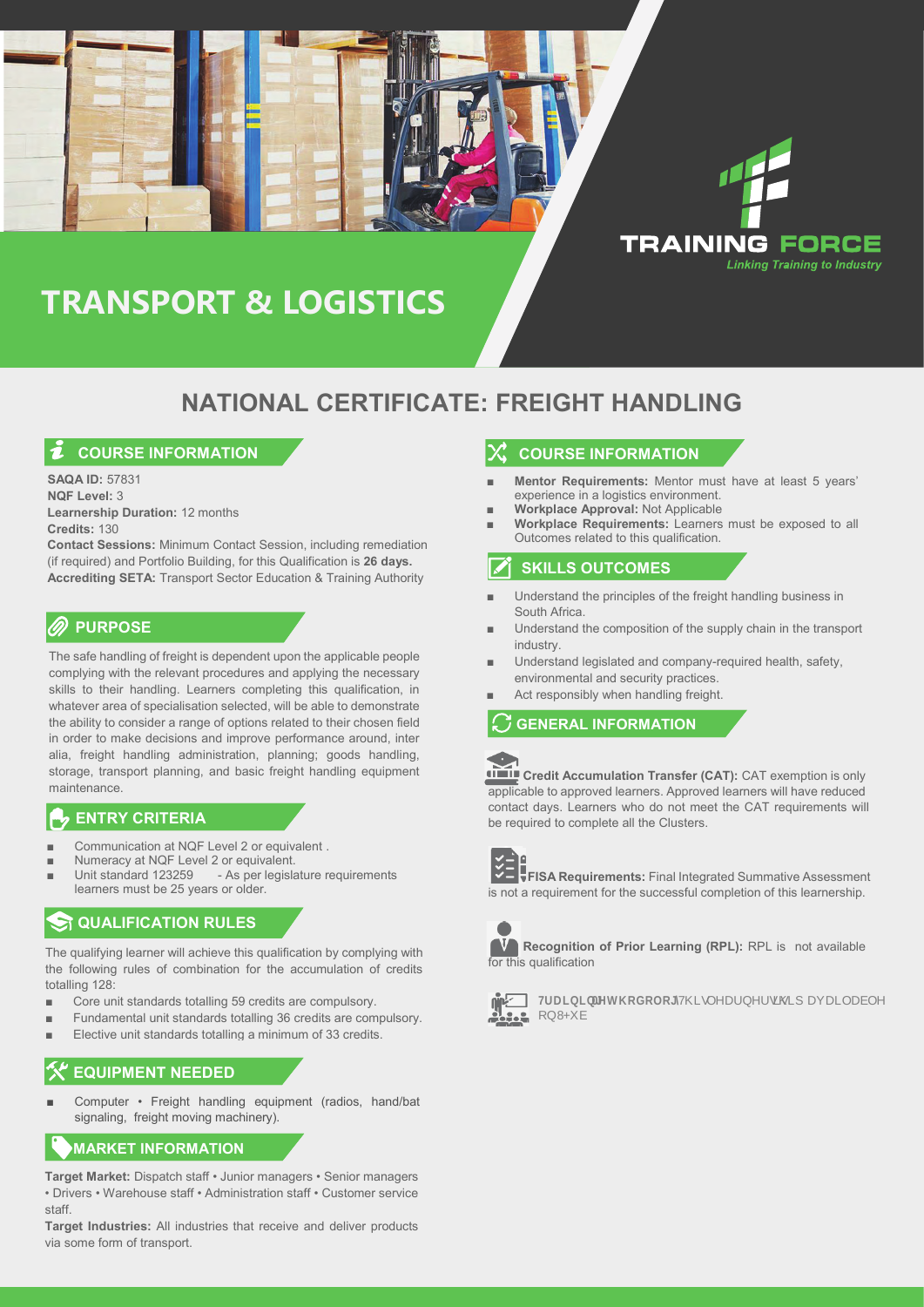

# **TRANSPORT & LOGISTICS**

# **NATIONAL CERTIFICATE: FREIGHT HANDLING**

### **COURSE INFORMATION**

**SAQA ID:** 57831 **NQF Level:** 3 **Learnership Duration:** 12 months **Credits:** 130

**Contact Sessions:** Minimum Contact Session, including remediation (if required) and Portfolio Building, for this Qualification is **26 days. Accrediting SETA:** Transport Sector Education & Training Authority

#### **PURPOSE**

The safe handling of freight is dependent upon the applicable people complying with the relevant procedures and applying the necessary skills to their handling. Learners completing this qualification, in whatever area of specialisation selected, will be able to demonstrate the ability to consider a range of options related to their chosen field in order to make decisions and improve performance around, inter alia, freight handling administration, planning; goods handling, storage, transport planning, and basic freight handling equipment maintenance.

#### **ENTRY CRITERIA**

- Communication at NQF Level 2 or equivalent .
- Numeracy at NQF Level 2 or equivalent.<br>Unit standard 123259 As per legislated
- As per legislature requirements learners must be 25 years or older.

### **QUALIFICATION RULES**

The qualifying learner will achieve this qualification by complying with the following rules of combination for the accumulation of credits totalling 128:

- Core unit standards totalling 59 credits are compulsory.
- Fundamental unit standards totalling 36 credits are compulsory.
- Elective unit standards totalling a minimum of 33 credits.

# **EQUIPMENT NEEDED**

Computer • Freight handling equipment (radios, hand/bat signaling, freight moving machinery).

## **MARKET INFORMATION**

**Target Market:** Dispatch staff • Junior managers • Senior managers • Drivers • Warehouse staff • Administration staff • Customer service staff.

**Target Industries:** All industries that receive and deliver products via some form of transport.

### **COURSE INFORMATION**

- **Mentor Requirements:** Mentor must have at least 5 years' experience in a logistics environment.
- **Workplace Approval: Not Applicable**
- **Workplace Requirements:** Learners must be exposed to all Outcomes related to this qualification.

### **SKILLS OUTCOMES**

- Understand the principles of the freight handling business in South Africa.
- Understand the composition of the supply chain in the transport industry.
- Understand legislated and company-required health, safety, environmental and security practices.
- Act responsibly when handling freight.

### **GENERAL INFORMATION**



**Credit Accumulation Transfer (CAT):** CAT exemption is only applicable to approved learners. Approved learners will have reduced contact days. Learners who do not meet the CAT requirements will be required to complete all the Clusters.



`  $\blacksquare$ **FISA Requirements:** Final Integrated Summative Assessment is not a requirement for the successful completion of this learnership.



**Recognition of Prior Learning (RPL):** RPL is not available for this qualification





**7 1DLC** *CDLS* **L** not accessibe and **RGROR**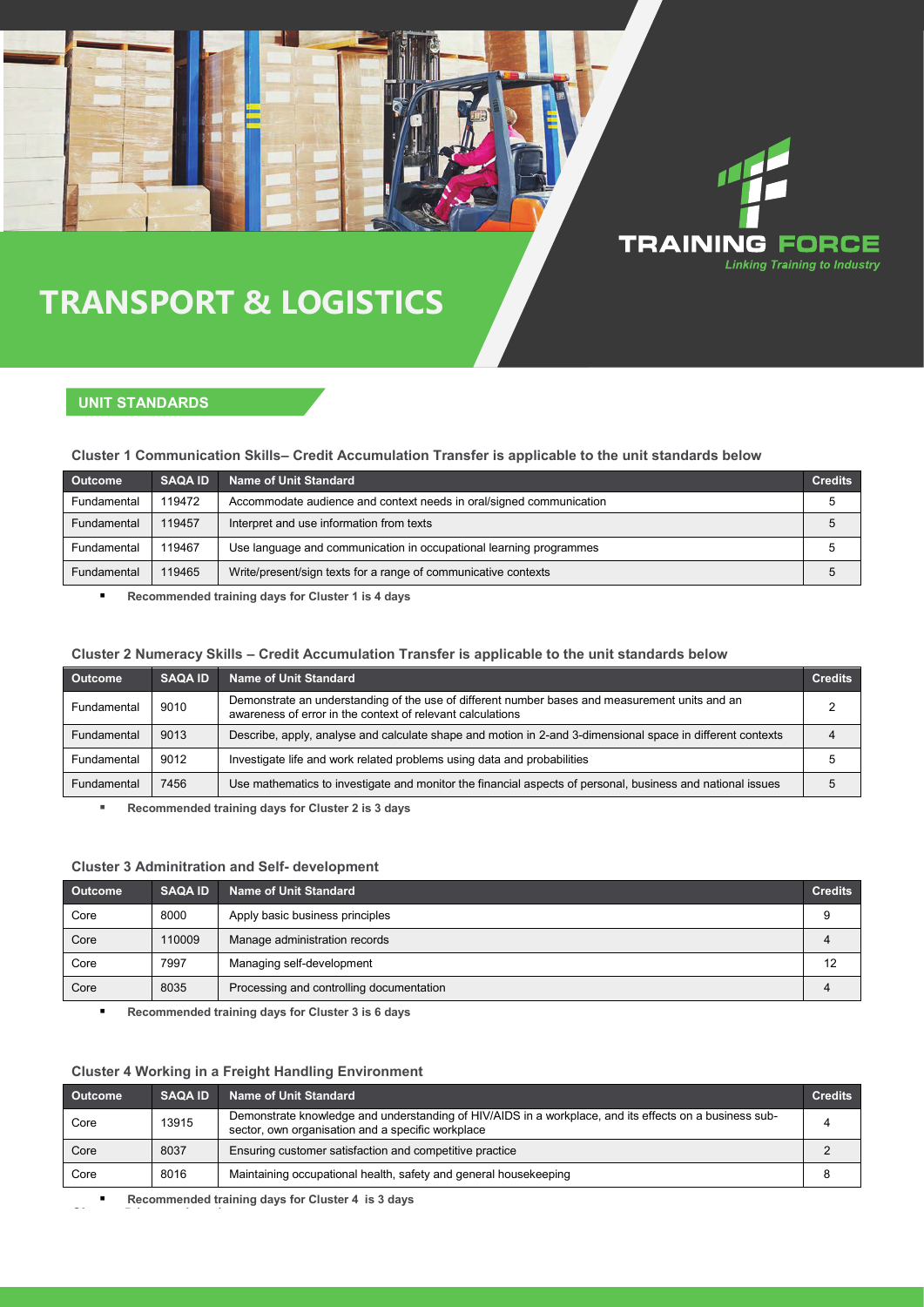# **TRANSPORT & LOGISTICS**

## **UNIT STANDARDS**

#### **Cluster 1 Communication Skills– Credit Accumulation Transfer is applicable to the unit standards below**

| <b>Outcome</b> | <b>SAQA ID</b> | Name of Unit Standard                                               | <b>Credits</b> |
|----------------|----------------|---------------------------------------------------------------------|----------------|
| Fundamental    | 119472         | Accommodate audience and context needs in oral/signed communication |                |
| Fundamental    | 119457         | Interpret and use information from texts                            | $\mathbf b$    |
| Fundamental    | 119467         | Use language and communication in occupational learning programmes  | 5              |
| Fundamental    | 119465         | Write/present/sign texts for a range of communicative contexts      | 5              |

**TRAINING FORCE** 

**Linking Training to Industry** 

**Recommended training days for Cluster 1 is 4 days**

#### **Cluster 2 Numeracy Skills – Credit Accumulation Transfer is applicable to the unit standards below**

| <b>Outcome</b> | <b>SAQA ID</b> | <b>Name of Unit Standard</b>                                                                                                                                 | <b>Credits</b> |
|----------------|----------------|--------------------------------------------------------------------------------------------------------------------------------------------------------------|----------------|
| Fundamental    | 9010           | Demonstrate an understanding of the use of different number bases and measurement units and an<br>awareness of error in the context of relevant calculations |                |
| Fundamental    | 9013           | Describe, apply, analyse and calculate shape and motion in 2-and 3-dimensional space in different contexts                                                   |                |
| Fundamental    | 9012           | Investigate life and work related problems using data and probabilities                                                                                      |                |
| Fundamental    | 7456           | Use mathematics to investigate and monitor the financial aspects of personal, business and national issues                                                   |                |

**Recommended training days for Cluster 2 is 3 days**

#### **Cluster 3 Adminitration and Self- development**

| Outcome | <b>SAQA ID</b> | Name of Unit Standard                    | <b>Credits</b> |
|---------|----------------|------------------------------------------|----------------|
| Core    | 8000           | Apply basic business principles          |                |
| Core    | 110009         | Manage administration records            |                |
| Core    | 7997           | Managing self-development                | 12             |
| Core    | 8035           | Processing and controlling documentation |                |

**Recommended training days for Cluster 3 is 6 days**

#### **Cluster 4 Working in a Freight Handling Environment**

| Outcome | <b>SAQA ID</b> | Name of Unit Standard                                                                                                                                       | <b>Credits</b> |
|---------|----------------|-------------------------------------------------------------------------------------------------------------------------------------------------------------|----------------|
| Core    | 13915          | Demonstrate knowledge and understanding of HIV/AIDS in a workplace, and its effects on a business sub-<br>sector, own organisation and a specific workplace |                |
| Core    | 8037           | Ensuring customer satisfaction and competitive practice                                                                                                     |                |
| Core    | 8016           | Maintaining occupational health, safety and general housekeeping                                                                                            |                |

**Recommended training days for Cluster 4 is 3 days**